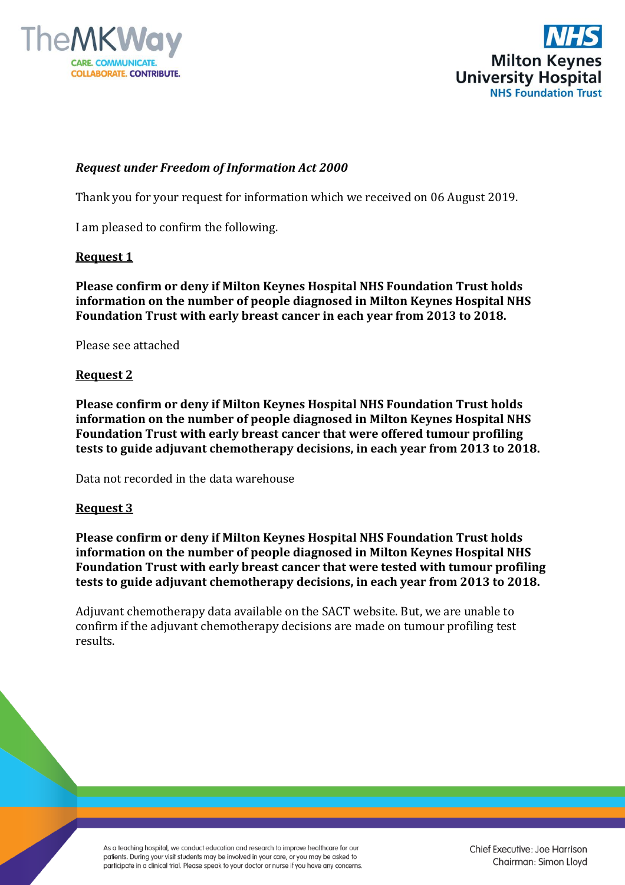



# *Request under Freedom of Information Act 2000*

Thank you for your request for information which we received on 06 August 2019.

I am pleased to confirm the following.

## **Request 1**

**Please confirm or deny if Milton Keynes Hospital NHS Foundation Trust holds information on the number of people diagnosed in Milton Keynes Hospital NHS Foundation Trust with early breast cancer in each year from 2013 to 2018.**

Please see attached

## **Request 2**

**Please confirm or deny if Milton Keynes Hospital NHS Foundation Trust holds information on the number of people diagnosed in Milton Keynes Hospital NHS Foundation Trust with early breast cancer that were offered tumour profiling tests to guide adjuvant chemotherapy decisions, in each year from 2013 to 2018.**

Data not recorded in the data warehouse

### **Request 3**

**Please confirm or deny if Milton Keynes Hospital NHS Foundation Trust holds information on the number of people diagnosed in Milton Keynes Hospital NHS Foundation Trust with early breast cancer that were tested with tumour profiling tests to guide adjuvant chemotherapy decisions, in each year from 2013 to 2018.**

Adjuvant chemotherapy data available on the SACT website. But, we are unable to confirm if the adjuvant chemotherapy decisions are made on tumour profiling test results.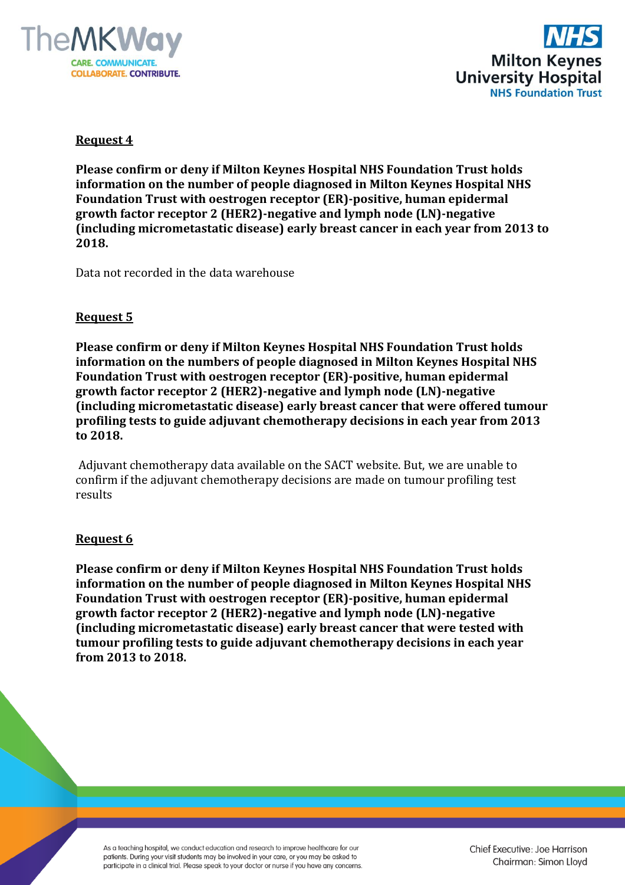



## **Request 4**

**Please confirm or deny if Milton Keynes Hospital NHS Foundation Trust holds information on the number of people diagnosed in Milton Keynes Hospital NHS Foundation Trust with oestrogen receptor (ER)-positive, human epidermal growth factor receptor 2 (HER2)-negative and lymph node (LN)-negative (including micrometastatic disease) early breast cancer in each year from 2013 to 2018.**

Data not recorded in the data warehouse

## **Request 5**

**Please confirm or deny if Milton Keynes Hospital NHS Foundation Trust holds information on the numbers of people diagnosed in Milton Keynes Hospital NHS Foundation Trust with oestrogen receptor (ER)-positive, human epidermal growth factor receptor 2 (HER2)-negative and lymph node (LN)-negative (including micrometastatic disease) early breast cancer that were offered tumour profiling tests to guide adjuvant chemotherapy decisions in each year from 2013 to 2018.**

Adjuvant chemotherapy data available on the SACT website. But, we are unable to confirm if the adjuvant chemotherapy decisions are made on tumour profiling test results

### **Request 6**

**Please confirm or deny if Milton Keynes Hospital NHS Foundation Trust holds information on the number of people diagnosed in Milton Keynes Hospital NHS Foundation Trust with oestrogen receptor (ER)-positive, human epidermal growth factor receptor 2 (HER2)-negative and lymph node (LN)-negative (including micrometastatic disease) early breast cancer that were tested with tumour profiling tests to guide adjuvant chemotherapy decisions in each year from 2013 to 2018.**

As a teaching hospital, we conduct education and research to improve healthcare for our patients. During your visit students may be involved in your care, or you may be asked to participate in a clinical trial. Please speak to your doctor or nurse if you have any concerns.